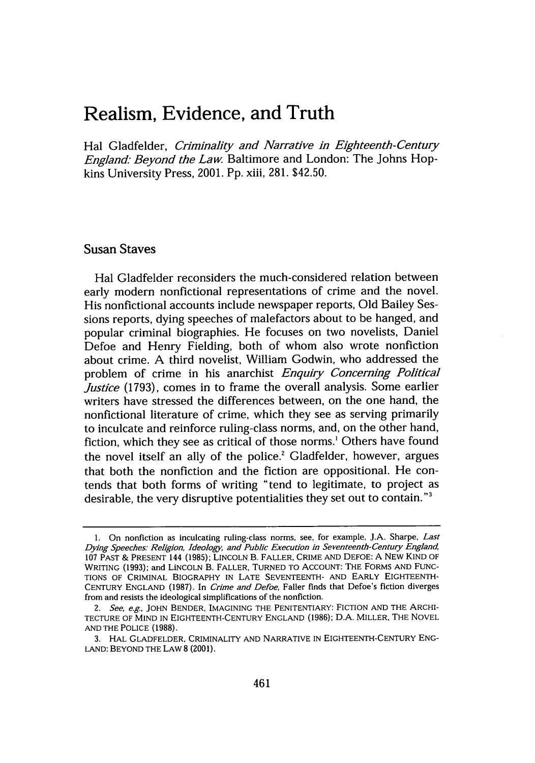## **Realism, Evidence, and Truth**

Hal Gladfelder, *Criminality and Narrative in Eighteenth-Century England- Beyond the Law.* Baltimore and London: The Johns Hopkins University Press, 2001. Pp. xiii, 281. \$42.50.

## Susan Staves

Hal Gladfelder reconsiders the much-considered relation between early modern nonfictional representations of crime and the novel. His nonfictional accounts include newspaper reports, Old Bailey Sessions reports, dying speeches of malefactors about to be hanged, and popular criminal biographies. He focuses on two novelists, Daniel Defoe and Henry Fielding, both of whom also wrote nonfiction about crime. A third novelist, William Godwin, who addressed the problem of crime in his anarchist *Enquiry Concerning Political Justice* (1793), comes in to frame the overall analysis. Some earlier writers have stressed the differences between, on the one hand, the nonfictional literature of crime, which they see as serving primarily to inculcate and reinforce ruling-class norms, and, on the other hand, fiction, which they see as critical of those norms.' Others have found the novel itself an ally of the police.<sup>2</sup> Gladfelder, however, argues that both the nonfiction and the fiction are oppositional. He contends that both forms of writing "tend to legitimate, to project as desirable, the very disruptive potentialities they set out to contain."'

<sup>1.</sup> On nonfiction as inculcating ruling-class norms, see, for example, J.A. Sharpe, *Last Dying Speeches Religion, Ideology, and Public Execution in Seventeenth-Century England,* 107 PAST & PRESENT 144 (1985); LINCOLN B. FALLER, CRIME AND DEFOE: A NEW KIND OF WRITING (1993); and LINCOLN B. FALLER, TURNED TO ACCOUNT: THE FORMS AND FUNC-TIONS OF CRIMINAL BIOGRAPHY IN LATE SEVENTEENTH- AND EARLY EIGHTEENTH-CENTURY ENGLAND (1987). In *Crime and Defoe,* Faller finds that Defoe's fiction diverges from and resists the ideological simplifications of the nonfiction.

*<sup>2.</sup> See,* e.g., JOHN BENDER, IMAGINING THE PENITENTIARY: FICTION AND THE ARCHI-TECTURE OF MIND IN EIGHTEENTH-CENTURY ENGLAND (1986); D.A. MILLER, THE NOVEL AND THE POLICE (1988).

<sup>3.</sup> HAL GLADFELDER, CRIMINALITY AND NARRATIVE IN EIGHTEENTH-CENTURY ENG-LAND: BEYOND THE LAW 8 (2001).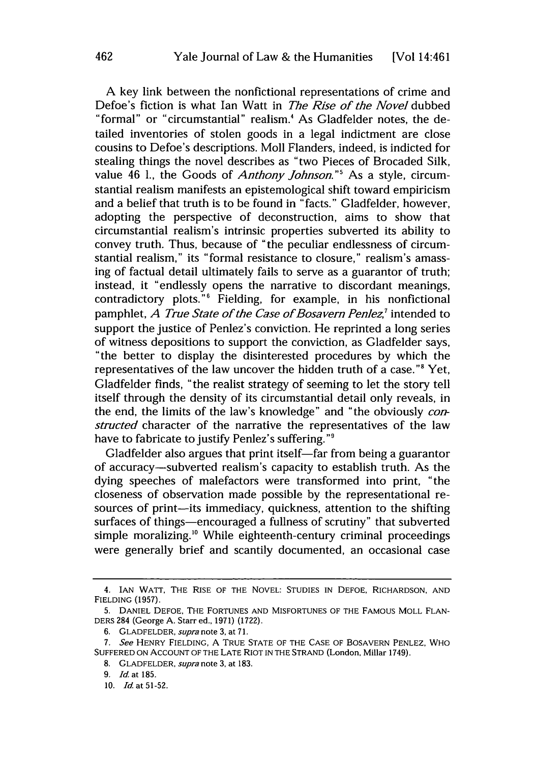A key link between the nonfictional representations of crime and Defoe's fiction is what Ian Watt in *The Rise of the Novel* dubbed "formal" or "circumstantial" realism.' As Gladfelder notes, the detailed inventories of stolen goods in a legal indictment are close cousins to Defoe's descriptions. Moll Flanders, indeed, is indicted for stealing things the novel describes as "two Pieces of Brocaded Silk, value 46 1., the Goods of *Anthony Johnson."'* As a style, circumstantial realism manifests an epistemological shift toward empiricism and a belief that truth is to be found in "facts." Gladfelder, however, adopting the perspective of deconstruction, aims to show that circumstantial realism's intrinsic properties subverted its ability to convey truth. Thus, because of "the peculiar endlessness of circumstantial realism," its "formal resistance to closure," realism's amassing of factual detail ultimately fails to serve as a guarantor of truth; instead, it "endlessly opens the narrative to discordant meanings, contradictory plots."6 Fielding, for example, in his nonfictional pamphlet, *A True State of the Case of Bosavern Penlez*,<sup>7</sup> intended to support the justice of Penlez's conviction. He reprinted a long series of witness depositions to support the conviction, as Gladfelder says, "the better to display the disinterested procedures by which the representatives of the law uncover the hidden truth of a case."8 Yet, Gladfelder finds, "the realist strategy of seeming to let the story tell itself through the density of its circumstantial detail only reveals, in the end, the limits of the law's knowledge" and "the obviously *constructed* character of the narrative the representatives of the law have to fabricate to justify Penlez's suffering."<sup>9</sup>

Gladfelder also argues that print itself-far from being a guarantor of accuracy-subverted realism's capacity to establish truth. As the dying speeches of malefactors were transformed into print, "the closeness of observation made possible by the representational resources of print-its immediacy, quickness, attention to the shifting surfaces of things-encouraged a fullness of scrutiny" that subverted simple moralizing.<sup>10</sup> While eighteenth-century criminal proceedings were generally brief and scantily documented, an occasional case

<sup>4.</sup> IAN WATT, THE RISE OF THE NOVEL: STUDIES IN DEFOE, RICHARDSON, AND FIELDING (1957).

<sup>5.</sup> DANIEL DEFOE, THE FORTUNES AND MISFORTUNES OF THE FAMOUS MOLL FLAN-DERS 284 (George A. Starred., 1971) (1722).

<sup>6.</sup> GLADFELDER, *supra* note 3, at **71.**

*<sup>7.</sup> See* HENRY FIELDING, A TRUE STATE OF THE CASE OF BOSAVERN PENLEZ, WHO SUFFERED ON ACCOUNT OF THE LATE RIOT IN THE STRAND (London, Millar 1749).

<sup>8.</sup> GLADFELDER, *supra* note 3, at 183.

<sup>9.</sup> *Id.* at **185.**

*<sup>10.</sup> Id.* at 51-52.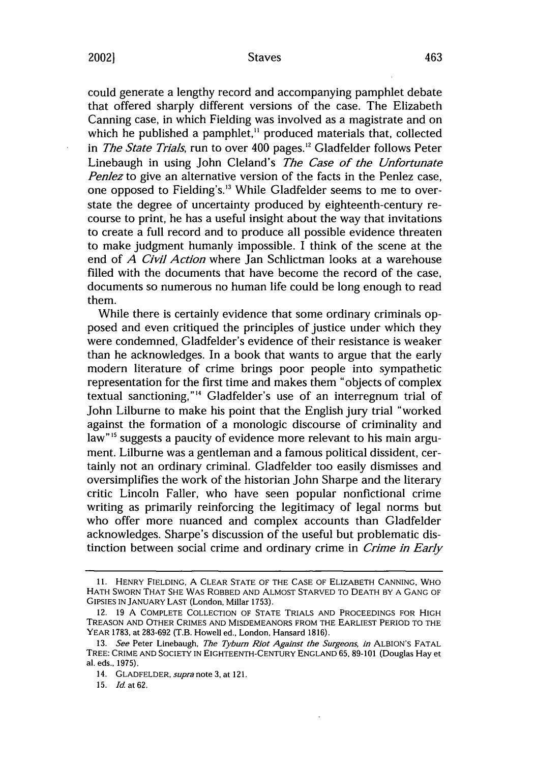20021

could generate a lengthy record and accompanying pamphlet debate that offered sharply different versions of the case. The Elizabeth Canning case, in which Fielding was involved as a magistrate and on which he published a pamphlet,<sup>11</sup> produced materials that, collected in *The State Trials,* run to over 400 pages." Gladfelder follows Peter Linebaugh in using John Cleland's *The Case of the Unfortunate Penlez* to give an alternative version of the facts in the Penlez case, one opposed to Fielding's.'3 While Gladfelder seems to me to overstate the degree of uncertainty produced by eighteenth-century recourse to print, he has a useful insight about the way that invitations to create a full record and to produce all possible evidence threaten to make judgment humanly impossible. I think of the scene at the end of *A Civil Action* where Jan Schlictman looks at a warehouse filled with the documents that have become the record of the case, documents so numerous no human life could be long enough to read them.

While there is certainly evidence that some ordinary criminals opposed and even critiqued the principles of justice under which they were condemned, Gladfelder's evidence of their resistance is weaker than he acknowledges. In a book that wants to argue that the early modern literature of crime brings poor people into sympathetic representation for the first time and makes them "objects of complex textual sanctioning, **"4** Gladfelder's use of an interregnum trial of John Lilburne to make his point that the English jury trial "worked against the formation of a monologic discourse of criminality and law"<sup>15</sup> suggests a paucity of evidence more relevant to his main argument. Lilburne was a gentleman and a famous political dissident, certainly not an ordinary criminal. Gladfelder too easily dismisses and oversimplifies the work of the historian John Sharpe and the literary critic Lincoln Faller, who have seen popular nonfictional crime writing as primarily reinforcing the legitimacy of legal norms but who offer more nuanced and complex accounts than Gladfelder acknowledges. Sharpe's discussion of the useful but problematic distinction between social crime and ordinary crime in *Crime in Early*

<sup>11.</sup> HENRY FIELDING, A CLEAR STATE OF THE CASE OF ELIZABETH CANNING, WHO HATH SWORN THAT SHE WAS ROBBED AND ALMOST STARVED TO DEATH BY A GANG OF GIPSIES IN JANUARY LAST (London, Millar 1753).

<sup>12. 19</sup> A COMPLETE COLLECTION OF STATE TRIALS AND PROCEEDINGS FOR HIGH TREASON AND OTHER CRIMES AND MISDEMEANORS FROM THE EARLIEST PERIOD TO THE YEAR 1783, at 283-692 (T.B. Howell ed., London, Hansard 1816).

<sup>13.</sup> *See* Peter Linebaugh, *The Tybum Riot Against the Surgeons, in* ALBION'S FATAL TREE: CRIME AND **SOCIETY** IN EIGHTEENTH-CENTURY ENGLAND 65, 89-101 (Douglas Hay et al. eds., 1975).

<sup>14.</sup> GLADFELDER, *supra* note 3, at 121.

<sup>15.</sup> **Id.** at **62.**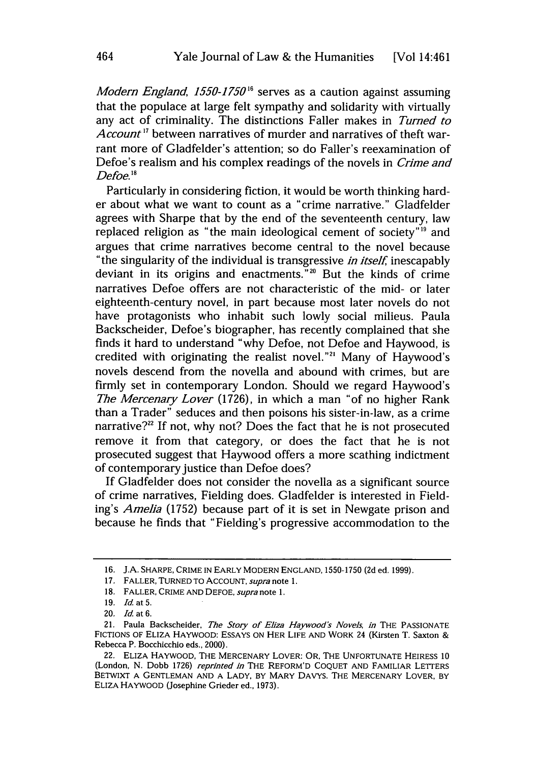*Modern England, 1550-1750*<sup>16</sup> serves as a caution against assuming that the populace at large felt sympathy and solidarity with virtually any act of criminality. The distinctions Faller makes in *Turned to Account <sup>7</sup>*between narratives of murder and narratives of theft warrant more of Gladfelder's attention; so do Faller's reexamination of Defoe's realism and his complex readings of the novels in *Crime and Defoe. <sup>18</sup>*

Particularly in considering fiction, it would be worth thinking harder about what we want to count as a "crime narrative." Gladfelder agrees with Sharpe that **by** the end of the seventeenth century, law replaced religion as "the main ideological cement of society"'9 and argues that crime narratives become central to the novel because "the singularity of the individual is transgressive *in itself,* inescapably deviant in its origins and enactments."2 But the kinds of crime narratives Defoe offers are not characteristic of the mid- or later eighteenth-century novel, in part because most later novels do not have protagonists who inhabit such lowly social milieus. Paula Backscheider, Defoe's biographer, has recently complained that she finds it hard to understand "why Defoe, not Defoe and Haywood, is credited with originating the realist novel."'" Many of Haywood's novels descend from the novella and abound with crimes, but are firmly set in contemporary London. Should we regard Haywood's *The Mercenary Lover* (1726), in which a man "of no higher Rank than a Trader" seduces and then poisons his sister-in-law, as a crime narrative? $2<sup>22</sup>$  If not, why not? Does the fact that he is not prosecuted remove it from that category, or does the fact that he is not prosecuted suggest that Haywood offers a more scathing indictment of contemporary justice than Defoe does?

**If** Gladfelder does not consider the novella as a significant source of crime narratives, Fielding does. Gladfelder is interested in Fielding's *Amelia* (1752) because part of it is set in Newgate prison and because he finds that "Fielding's progressive accommodation to the

**<sup>16.</sup> J.A.** SHARPE, CRIME **IN** EARLY MODERN **ENGLAND, 1550-1750 (2d** ed. **1999).**

**<sup>17.</sup>** FALLER, **TURNED** TO ACCOUNT, *supra note* **1.**

**<sup>18.</sup>** FALLER, CRIME **AND DEFOE,** *supra* note **1.**

**<sup>19.</sup>** *Id.* at **5.**

<sup>20.</sup> *Id.* at **6.**

<sup>21.</sup> Paula Backscheider, *The Story of Eliza Haywood's Novels, in* THE PASSIONATE FICTIONS OF ELIZA HAYWOOD: **ESSAYS ON** HER **LIFE AND** WORK 24 (Kirsten T. Saxton & Rebecca P. Bocchicchio eds., 2000).

<sup>22.</sup> ELIZA HAYWOOD, THE MERCENARY LOVER: OR, THE **UNFORTUNATE** HEIRESS **10** (London, **N.** Dobb **1726)** *reprinted in* THE REFORM'D **COQUET AND** FAMILIAR LETTERS BETWIXT **A GENTLEMAN AND A** LADY, BY MARY DAVYS. THE MERCENARY LOVER, BY ELIZA HAYWOOD (Josephine Grieder ed., **1973).**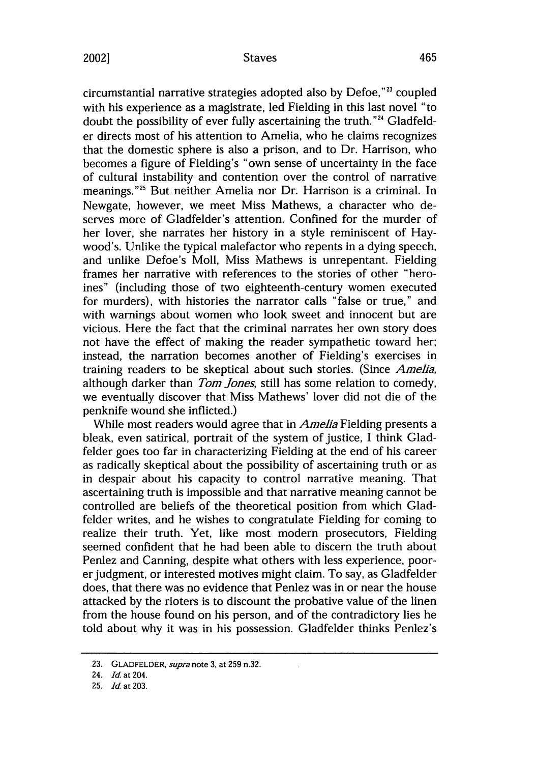circumstantial narrative strategies adopted also by Defoe,"23 coupled with his experience as a magistrate, led Fielding in this last novel "to doubt the possibility of ever fully ascertaining the truth. '24 Gladfelder directs most of his attention to Amelia, who he claims recognizes that the domestic sphere is also a prison, and to Dr. Harrison, who becomes a figure of Fielding's "own sense of uncertainty in the face of cultural instability and contention over the control of narrative meanings."<sup>25</sup> But neither Amelia nor Dr. Harrison is a criminal. In Newgate, however, we meet Miss Mathews, a character who deserves more of Gladfelder's attention. Confined for the murder of her lover, she narrates her history in a style reminiscent of Haywood's. Unlike the typical malefactor who repents in a dying speech, and unlike Defoe's Moll, Miss Mathews is unrepentant. Fielding frames her narrative with references to the stories of other "heroines" (including those of two eighteenth-century women executed for murders), with histories the narrator calls "false or true," and with warnings about women who look sweet and innocent but are vicious. Here the fact that the criminal narrates her own story does not have the effect of making the reader sympathetic toward her; instead, the narration becomes another of Fielding's exercises in training readers to be skeptical about such stories. (Since *Amelia,* although darker than *Tom Jones,* still has some relation to comedy, we eventually discover that Miss Mathews' lover did not die of the penknife wound she inflicted.)

While most readers would agree that in *Amelia* Fielding presents a bleak, even satirical, portrait of the system of justice, I think Gladfelder goes too far in characterizing Fielding at the end of his career as radically skeptical about the possibility of ascertaining truth or as in despair about his capacity to control narrative meaning. That ascertaining truth is impossible and that narrative meaning cannot be controlled are beliefs of the theoretical position from which Gladfelder writes, and he wishes to congratulate Fielding for coming to realize their truth. Yet, like most modern prosecutors, Fielding seemed confident that he had been able to discern the truth about Penlez and Canning, despite what others with less experience, poorer judgment, or interested motives might claim. To say, as Gladfelder does, that there was no evidence that Penlez was in or near the house attacked by the rioters is to discount the probative value of the linen from the house found on his person, and of the contradictory lies he told about why it was in his possession. Gladfelder thinks Penlez's

**<sup>23.</sup>** GLADFELDER, *supra* note **3,** at **259** n.32.

<sup>24.</sup> *Id.* at 204.

**<sup>25.</sup>** *Id.* at **203.**